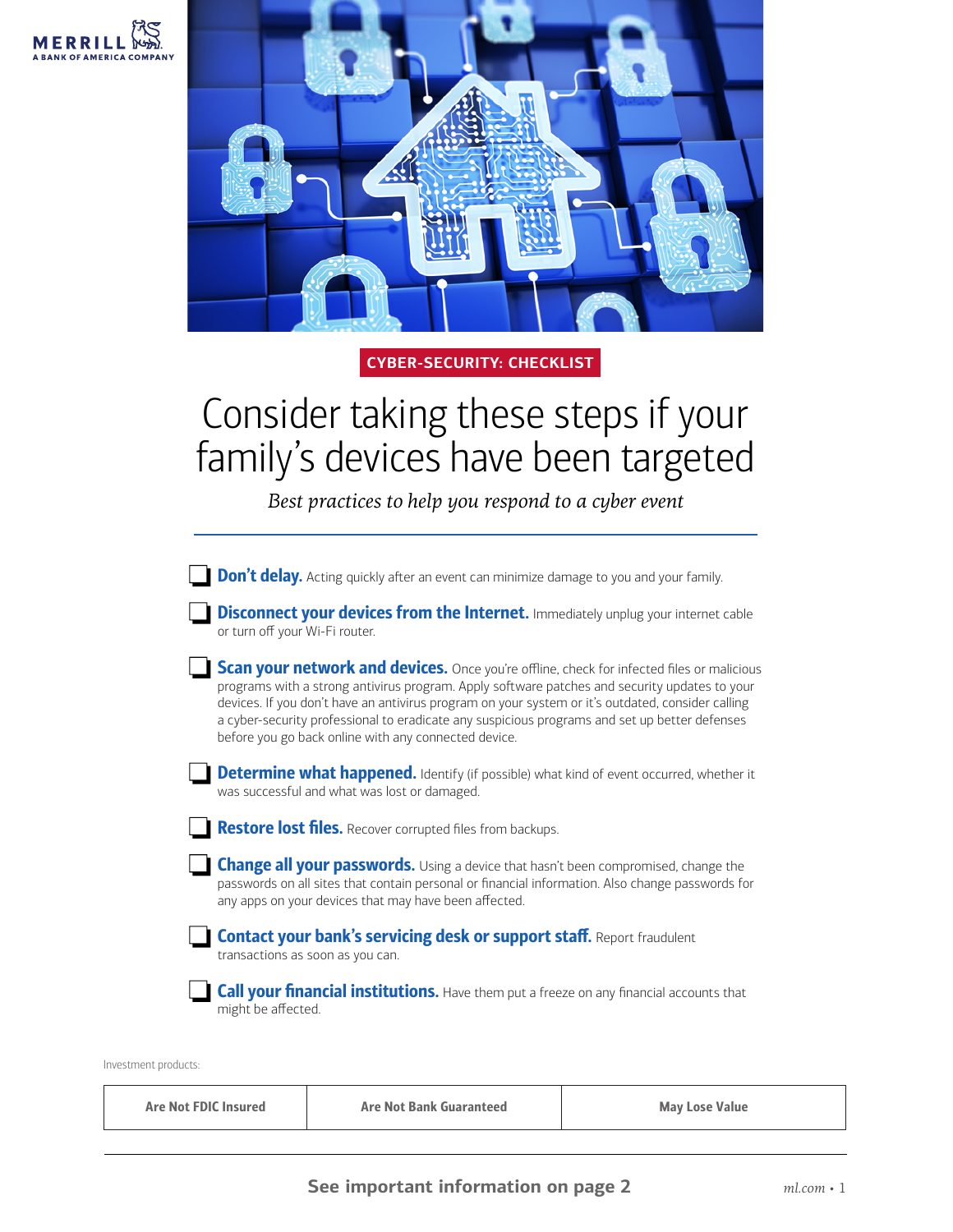

## **CYBER-SECURITY: CHECKLIST**

## Consider taking these steps if your family's devices have been targeted

*Best practices to help you respond to a cyber event*

| <b>Don't delay.</b> Acting quickly after an event can minimize damage to you and your family.                                                                                                                                                                                                                                                                                                                                                                   |
|-----------------------------------------------------------------------------------------------------------------------------------------------------------------------------------------------------------------------------------------------------------------------------------------------------------------------------------------------------------------------------------------------------------------------------------------------------------------|
| <b>Disconnect your devices from the Internet.</b> Immediately unplug your internet cable<br>or turn off your Wi-Fi router.                                                                                                                                                                                                                                                                                                                                      |
| <b>Scan your network and devices.</b> Once you're offline, check for infected files or malicious<br>programs with a strong antivirus program. Apply software patches and security updates to your<br>devices. If you don't have an antivirus program on your system or it's outdated, consider calling<br>a cyber-security professional to eradicate any suspicious programs and set up better defenses<br>before you go back online with any connected device. |
| <b>Determine what happened.</b> Identify (if possible) what kind of event occurred, whether it<br>was successful and what was lost or damaged.                                                                                                                                                                                                                                                                                                                  |
| <b>Restore lost files.</b> Recover corrupted files from backups.                                                                                                                                                                                                                                                                                                                                                                                                |
| <b>Change all your passwords.</b> Using a device that hasn't been compromised, change the<br>passwords on all sites that contain personal or financial information. Also change passwords for<br>any apps on your devices that may have been affected.                                                                                                                                                                                                          |
| <b>Contact your bank's servicing desk or support staff.</b> Report fraudulent<br>transactions as soon as you can.                                                                                                                                                                                                                                                                                                                                               |
| <b>Call your financial institutions.</b> Have them put a freeze on any financial accounts that<br>might be affected.                                                                                                                                                                                                                                                                                                                                            |

Investment products:

Are Not FDIC Insured Are Not Bank Guaranteed Are May Lose Value